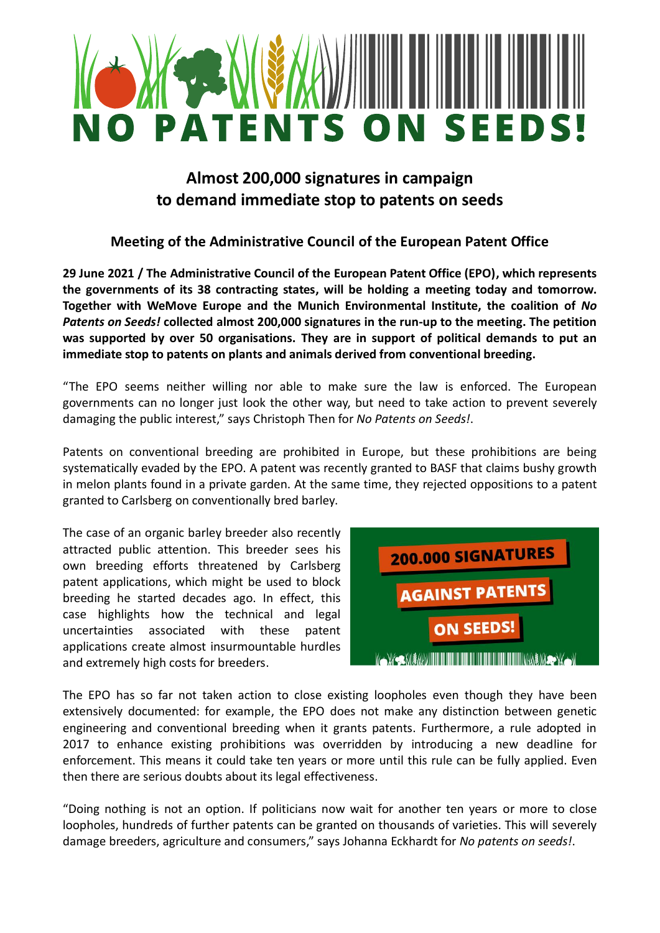

## **Almost 200,000 signatures in campaign to demand immediate stop to patents on seeds**

## **Meeting of the Administrative Council of the European Patent Office**

**29 June 2021 / The Administrative Council of the European Patent Office (EPO), which represents the governments of its 38 contracting states, will be holding a meeting today and tomorrow. Together with WeMove Europe and the Munich Environmental Institute, the coalition of** *No Patents on Seeds!* **collected almost 200,000 signatures in the run-up to the meeting. The petition was supported by over 50 organisations. They are in support of political demands to put an immediate stop to patents on plants and animals derived from conventional breeding.** 

"The EPO seems neither willing nor able to make sure the law is enforced. The European governments can no longer just look the other way, but need to take action to prevent severely damaging the public interest," says Christoph Then for *No Patents on Seeds!*.

Patents on conventional breeding are prohibited in Europe, but these prohibitions are being systematically evaded by the EPO. A patent was recently granted to BASF that claims bushy growth in melon plants found in a private garden. At the same time, they rejected oppositions to a patent granted to Carlsberg on conventionally bred barley.

The case of an organic barley breeder also recently attracted public attention. This breeder sees his own breeding efforts threatened by Carlsberg patent applications, which might be used to block breeding he started decades ago. In effect, this case highlights how the technical and legal uncertainties associated with these patent applications create almost insurmountable hurdles and extremely high costs for breeders.

| 200.000 SIGNATURES     |
|------------------------|
| <b>AGAINST PATENTS</b> |
| <b>ON SEEDS!</b>       |
|                        |

The EPO has so far not taken action to close existing loopholes even though they have been extensively documented: for example, the EPO does not make any distinction between genetic engineering and conventional breeding when it grants patents. Furthermore, a rule adopted in 2017 to enhance existing prohibitions was overridden by introducing a new deadline for enforcement. This means it could take ten years or more until this rule can be fully applied. Even then there are serious doubts about its legal effectiveness.

"Doing nothing is not an option. If politicians now wait for another ten years or more to close loopholes, hundreds of further patents can be granted on thousands of varieties. This will severely damage breeders, agriculture and consumers," says Johanna Eckhardt for *No patents on seeds!*.